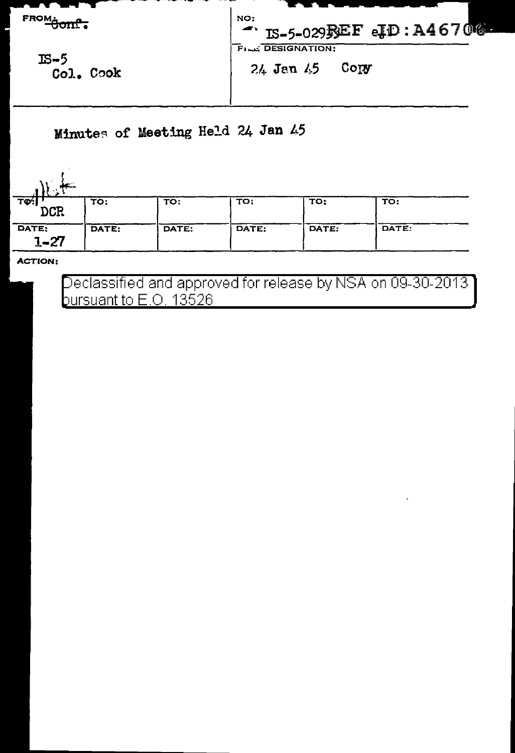

Minutes of Meeting Held 24 Jan 45

| TO !<br>DCR       | TO:   | TO:   | TO:   | TO:   | TO:   |
|-------------------|-------|-------|-------|-------|-------|
| DATE:<br>$1 - 27$ | DATE: | DATE: | DATE: | DATE: | DATE: |

**ACTION:** 

Declassified and approved for release by NSA on 09-30-2013 bursuant to  $E.O.$  13526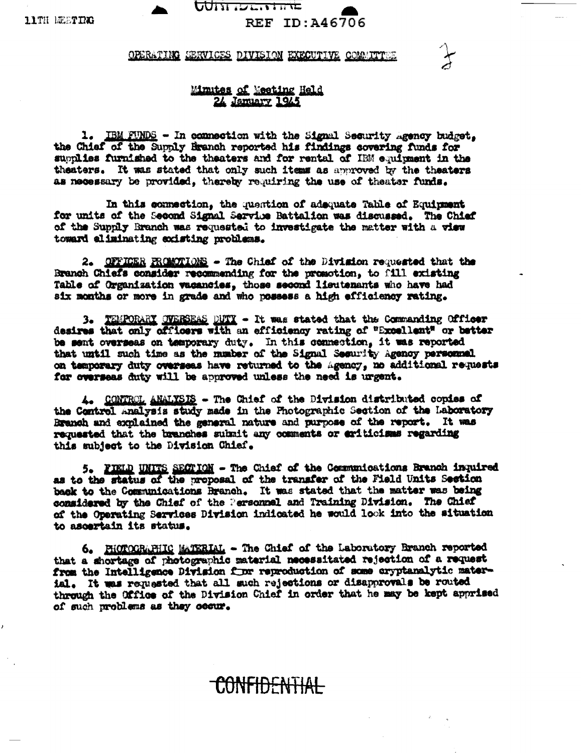<u>oom iscurinc</u> REF ID: A46706

## OPERATING SERVICES DIVISION EXECUTIVE COMMITTEE

## Minutes of Meeting Held 24 January 1945

1. IBM FUNDS - In commection with the Signal Security agency budget, the Chief of the Supply Branch reported his findings covering funds for supplies furnished to the theaters and for rental of HEM equipment in the theaters. It was stated that only such items as approved by the theaters as necessary be provided, thereby requiring the use of theater funds.

In this connection, the question of adequate Table of Equipment for units of the Second Signal Service Battalian was discussed. The Chief of the Supply Branch was requested to investigate the matter with a view toward aliminating codsting problems.

2. OFFICER PROMOTIONS - The Chief of the Division requested that the Branch Chiefs consider recommending for the promotion, to fill existing Table of Organization vacancies, those second lieutenants who have had six months or more in grade and who possess a high efficiency rating.

3. TEMPORARY OVERSEAS DUTY - It was stated that the Commanding Officer desires that only officers with an efficiency rating of "Excellent" or better be sent overseas on temporary duty. In this connection, it was reported that until such time as the number of the Signal Segurity Agency personnel. on temporary duty overseas have returned to the Agency, no additional requests for overseas duty will be approved unless the need is urgent.

4. CONTROL ANALYSIS - The Chief of the Division distributed copies of the Control Analysis study made in the Photographic Section of the Laboratory Branch and explained the general nature and purpose of the report. It was requested that the branches submit any comments or eriticisms regarding this subject to the Division Chief.

5. FIELD UNITS SECTION - The Chief of the Communications Branch inquired as to the status of the proposal of the transfer of the Field Units Section back to the Communications Branch. It was stated that the matter was being considered by the Chief of the Personnal and Training Division. The Chief of the Operating Services Division indicated he would look into the situation to ascertain its status.

6. PHOTOGRAPHIC MATERIAL - The Chief of the Laboratory Branch reported that a shortage of photographic material necessitated rejection of a request from the Intelligence Division for reproduction of some cryptanalytic material. It was requested that all such rejections or disapprovals be routed through the Office of the Division Chief in order that he may be kept apprised of such problems as they coour.

<del>YONFIDENTIAL</del>